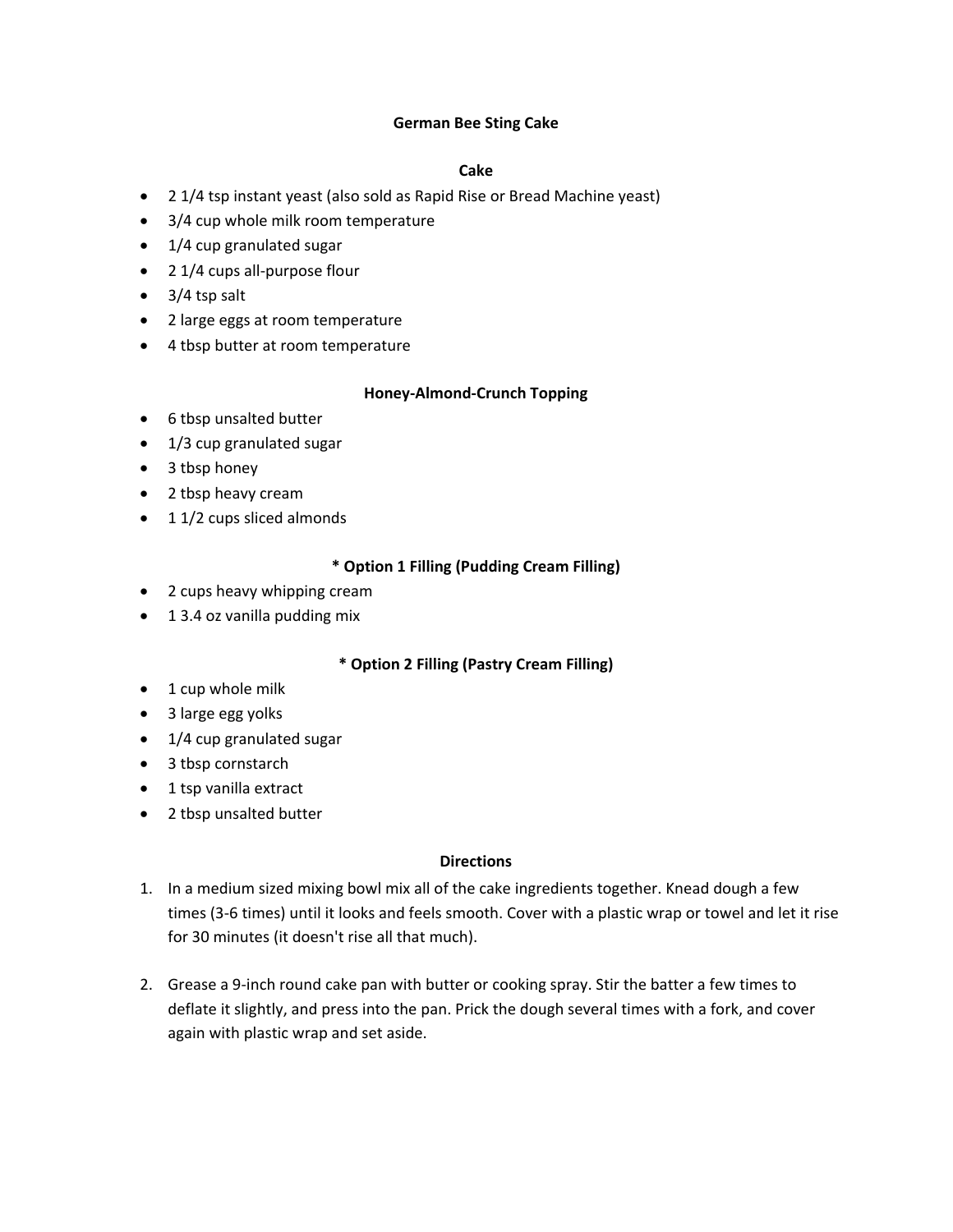## **German Bee Sting Cake**

# **Cake**

- 2 1/4 tsp instant yeast (also sold as Rapid Rise or Bread Machine yeast)
- 3/4 cup whole milk room temperature
- 1/4 cup granulated sugar
- 2 1/4 cups all-purpose flour
- $\bullet$  3/4 tsp salt
- 2 large eggs at room temperature
- 4 tbsp butter at room temperature

## **Honey-Almond-Crunch Topping**

- 6 tbsp unsalted butter
- 1/3 cup granulated sugar
- 3 tbsp honey
- 2 tbsp heavy cream
- 1 1/2 cups sliced almonds

## **\* Option 1 Filling (Pudding Cream Filling)**

- 2 cups heavy whipping cream
- 1 3.4 oz vanilla pudding mix

## **\* Option 2 Filling (Pastry Cream Filling)**

- 1 cup whole milk
- 3 large egg yolks
- 1/4 cup granulated sugar
- 3 tbsp cornstarch
- 1 tsp vanilla extract
- 2 tbsp unsalted butter

## **Directions**

- 1. In a medium sized mixing bowl mix all of the cake ingredients together. Knead dough a few times (3-6 times) until it looks and feels smooth. Cover with a plastic wrap or towel and let it rise for 30 minutes (it doesn't rise all that much).
- 2. Grease a 9-inch round cake pan with butter or cooking spray. Stir the batter a few times to deflate it slightly, and press into the pan. Prick the dough several times with a fork, and cover again with plastic wrap and set aside.